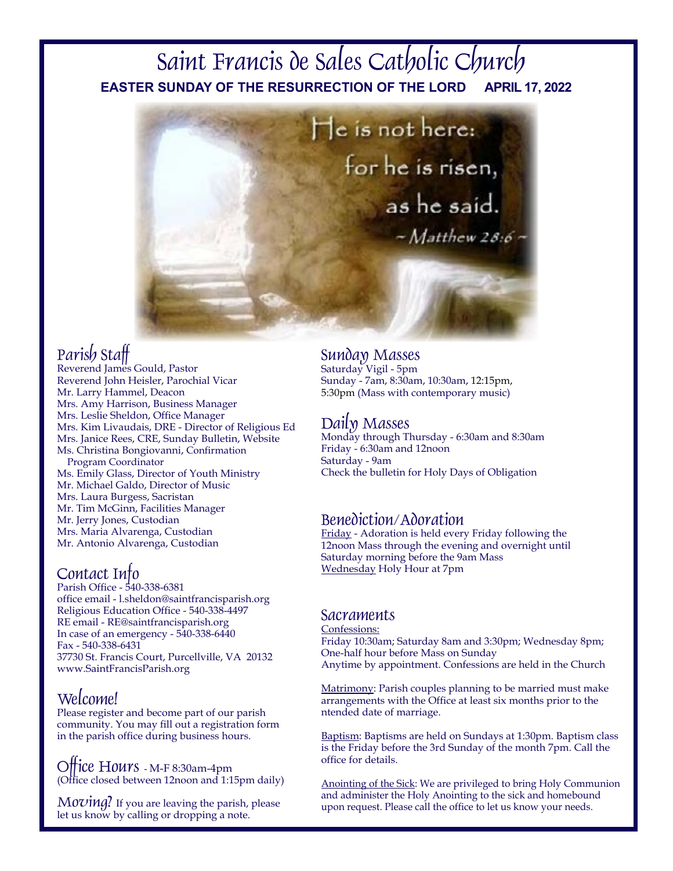# **EASTER SUNDAY OF THE RESURRECTION OF THE LORD APRIL 17, 2022**Saint Francis de Sales Catholic Church



## Parish Staff

Reverend James Gould, Pastor Reverend John Heisler, Parochial Vicar Mr. Larry Hammel, Deacon Mrs. Amy Harrison, Business Manager Mrs. Leslie Sheldon, Office Manager Mrs. Kim Livaudais, DRE - Director of Religious Ed Mrs. Janice Rees, CRE, Sunday Bulletin, Website Ms. Christina Bongiovanni, Confirmation Program Coordinator Ms. Emily Glass, Director of Youth Ministry Mr. Michael Galdo, Director of Music Mrs. Laura Burgess, Sacristan Mr. Tim McGinn, Facilities Manager Mr. Jerry Jones, Custodian Mrs. Maria Alvarenga, Custodian

Mr. Antonio Alvarenga, Custodian

## Contact Info

Parish Office - 540-338-6381 office email - l.sheldon@saintfrancisparish.org Religious Education Office - 540-338-4497 RE email - RE@saintfrancisparish.org In case of an emergency - 540-338-6440 Fax - 540-338-6431 37730 St. Francis Court, Purcellville, VA 20132 www.SaintFrancisParish.org

## Welcome!

Please register and become part of our parish community. You may fill out a registration form in the parish office during business hours.

Office Hours - M-F 8:30am-4pm (Office closed between 12noon and 1:15pm daily)

 $Moving?$  If you are leaving the parish, please let us know by calling or dropping a note.

## Sunday Masses

Saturday Vigil - 5pm Sunday - 7am, 8:30am, 10:30am, 12:15pm, 5:30pm (Mass with contemporary music)

Daily MassesMonday through Thursday - 6:30am and 8:30am Friday - 6:30am and 12noon Saturday - 9am Check the bulletin for Holy Days of Obligation

## Benediction/Adoration

Friday - Adoration is held every Friday following the 12noon Mass through the evening and overnight until Saturday morning before the 9am Mass Wednesday Holy Hour at 7pm

### Sacraments

Confessions: Friday 10:30am; Saturday 8am and 3:30pm; Wednesday 8pm; One-half hour before Mass on Sunday Anytime by appointment. Confessions are held in the Church

Matrimony: Parish couples planning to be married must make arrangements with the Office at least six months prior to the ntended date of marriage.

Baptism: Baptisms are held on Sundays at 1:30pm. Baptism class is the Friday before the 3rd Sunday of the month 7pm. Call the office for details.

Anointing of the Sick: We are privileged to bring Holy Communion and administer the Holy Anointing to the sick and homebound upon request. Please call the office to let us know your needs.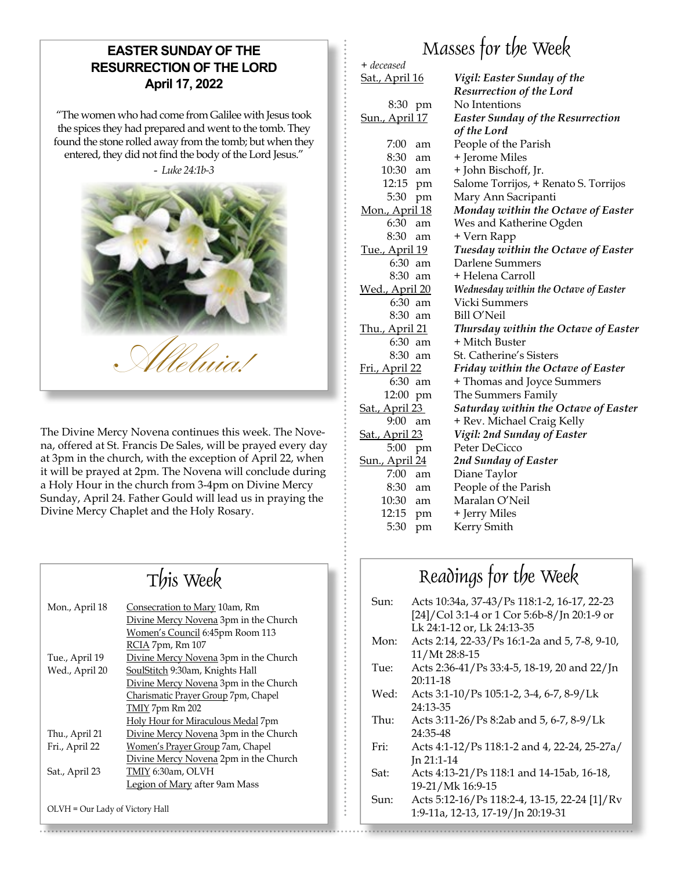## **EASTER SUNDAY OF THE RESURRECTION OF THE LORD April 17, 2022**

"The women who had come from Galilee with Jesus took the spices they had prepared and went to the tomb. They found the stone rolled away from the tomb; but when they entered, they did not find the body of the Lord Jesus."



The Divine Mercy Novena continues this week. The Novena, offered at St. Francis De Sales, will be prayed every day at 3pm in the church, with the exception of April 22, when it will be prayed at 2pm. The Novena will conclude during a Holy Hour in the church from 3-4pm on Divine Mercy Sunday, April 24. Father Gould will lead us in praying the Divine Mercy Chaplet and the Holy Rosary.

## Mon., April 18 Consecration to Mary 10am, Rm Divine Mercy Novena 3pm in the Church Women's Council 6:45pm Room 113 RCIA 7pm, Rm 107 Tue., April 19 Divine Mercy Novena 3pm in the Church Wed., April 20 SoulStitch 9:30am, Knights Hall Divine Mercy Novena 3pm in the Church Charismatic Prayer Group 7pm, Chapel TMIY 7pm Rm 202 Holy Hour for Miraculous Medal 7pm Thu., April 21 Divine Mercy Novena 3pm in the Church Fri., April 22 Women's Prayer Group 7am, Chapel Divine Mercy Novena 2pm in the Church Sat., April 23 TMIY 6:30am, OLVH Legion of Mary after 9am Mass

OLVH = Our Lady of Victory Hall

# Masses for the Week

| + deceased             |                                          |
|------------------------|------------------------------------------|
| <u>Sat., April 16</u>  | Vigil: Easter Sunday of the              |
|                        | <b>Resurrection of the Lord</b>          |
| 8:30 pm                | No Intentions                            |
| Sun., April 17         | <b>Easter Sunday of the Resurrection</b> |
|                        | of the Lord                              |
| 7:00<br>am             | People of the Parish                     |
| 8:30<br>am             | + Jerome Miles                           |
| $10:30$ am             | + John Bischoff, Jr.                     |
| 12:15 pm               | Salome Torrijos, + Renato S. Torrijos    |
| 5:30<br>pm             | Mary Ann Sacripanti                      |
| Mon., April 18         | Monday within the Octave of Easter       |
| 6:30<br>am             | Wes and Katherine Ogden                  |
| 8:30<br>am             | + Vern Rapp                              |
| <u>Tue., April 19</u>  | Tuesday within the Octave of Easter      |
| 6:30<br>am             | Darlene Summers                          |
| 8:30<br>am             | + Helena Carroll                         |
| <u> Wed., April 20</u> | Wednesday within the Octave of Easter    |
| 6:30<br>am             | Vicki Summers                            |
| 8:30<br>am             | Bill O'Neil                              |
| <u>Thu., April 21</u>  | Thursday within the Octave of Easter     |
| 6:30<br>am             | + Mitch Buster                           |
| 8:30<br>am             | St. Catherine's Sisters                  |
| Fri., April 22         | Friday within the Octave of Easter       |
| 6:30 am                | + Thomas and Joyce Summers               |
| 12:00 pm               | The Summers Family                       |
| <u>Sat., April 23 </u> | Saturday within the Octave of Easter     |
| 9:00<br>am             | + Rev. Michael Craig Kelly               |
| <u>Sat., April 23</u>  | Vigil: 2nd Sunday of Easter              |
| 5:00<br>pm             | Peter DeCicco                            |
| <b>Sun., April 24</b>  | 2nd Sunday of Easter                     |
| 7:00<br>am             | Diane Taylor                             |
| 8:30 am                | People of the Parish                     |
| 10:30 am               | Maralan O'Neil                           |
| 12:15 pm               | + Jerry Miles                            |
| 5:30<br>pm             | Kerry Smith                              |
|                        |                                          |

## $This week$  Readings for the Week

| Sun: | Acts 10:34a, 37-43/Ps 118:1-2, 16-17, 22-23   |
|------|-----------------------------------------------|
|      | [24]/Col 3:1-4 or 1 Cor 5:6b-8/Jn 20:1-9 or   |
|      | Lk 24:1-12 or, Lk 24:13-35                    |
| Mon: | Acts 2:14, 22-33/Ps 16:1-2a and 5, 7-8, 9-10, |
|      | 11/Mt 28:8-15                                 |
| Tue: | Acts 2:36-41/Ps 33:4-5, 18-19, 20 and 22/Jn   |
|      | $20:11 - 18$                                  |
| Wed: | Acts 3:1-10/Ps 105:1-2, 3-4, 6-7, 8-9/Lk      |
|      | 24:13-35                                      |
| Thu: | Acts 3:11-26/Ps 8:2ab and 5, 6-7, 8-9/Lk      |
|      | 24:35-48                                      |
| Fri: | Acts 4:1-12/Ps 118:1-2 and 4, 22-24, 25-27a/  |
|      | $In 21:1-14$                                  |
| Sat: | Acts 4:13-21/Ps 118:1 and 14-15ab, 16-18,     |
|      | 19-21/Mk 16:9-15                              |
| Sun: | Acts 5:12-16/Ps 118:2-4, 13-15, 22-24 [1]/Rv  |
|      | 1:9-11a, 12-13, 17-19/Jn 20:19-31             |
|      |                                               |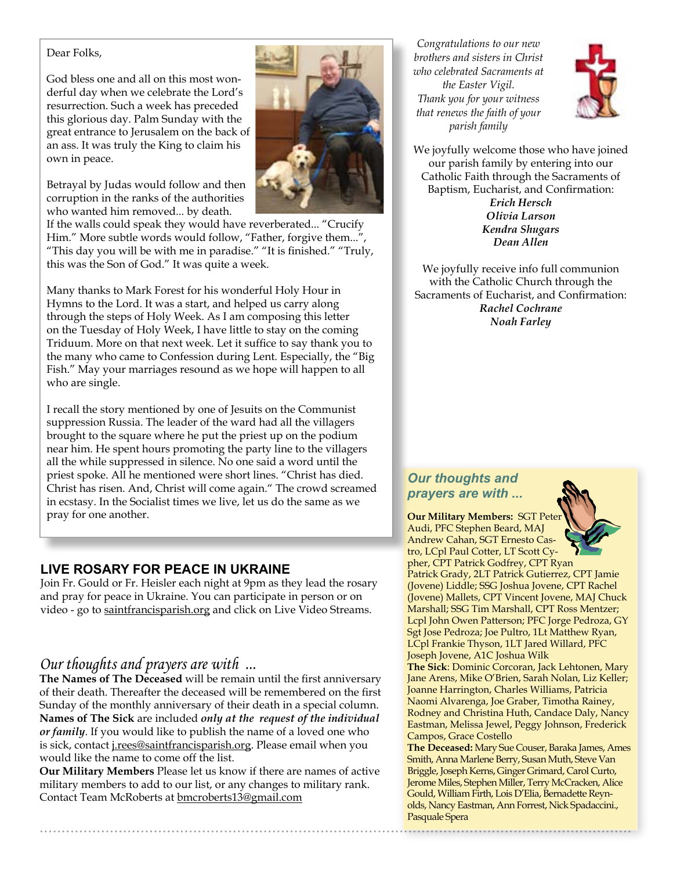#### Dear Folks,

God bless one and all on this most wonderful day when we celebrate the Lord's resurrection. Such a week has preceded this glorious day. Palm Sunday with the great entrance to Jerusalem on the back of an ass. It was truly the King to claim his own in peace.

Betrayal by Judas would follow and then corruption in the ranks of the authorities who wanted him removed... by death.



If the walls could speak they would have reverberated... "Crucify Him." More subtle words would follow, "Father, forgive them...", "This day you will be with me in paradise." "It is finished." "Truly, this was the Son of God." It was quite a week.

Many thanks to Mark Forest for his wonderful Holy Hour in Hymns to the Lord. It was a start, and helped us carry along through the steps of Holy Week. As I am composing this letter on the Tuesday of Holy Week, I have little to stay on the coming Triduum. More on that next week. Let it suffice to say thank you to the many who came to Confession during Lent. Especially, the "Big Fish." May your marriages resound as we hope will happen to all who are single.

I recall the story mentioned by one of Jesuits on the Communist suppression Russia. The leader of the ward had all the villagers brought to the square where he put the priest up on the podium near him. He spent hours promoting the party line to the villagers all the while suppressed in silence. No one said a word until the priest spoke. All he mentioned were short lines. "Christ has died. Christ has risen. And, Christ will come again." The crowd screamed in ecstasy. In the Socialist times we live, let us do the same as we pray for one another.

### **LIVE ROSARY FOR PEACE IN UKRAINE**

Join Fr. Gould or Fr. Heisler each night at 9pm as they lead the rosary and pray for peace in Ukraine. You can participate in person or on video - go to saintfrancisparish.org and click on Live Video Streams.

## *Our thoughts and prayers are with ...*

**The Names of The Deceased** will be remain until the first anniversary of their death. Thereafter the deceased will be remembered on the first Sunday of the monthly anniversary of their death in a special column. **Names of The Sick** are included *only at the request of the individual or family*. If you would like to publish the name of a loved one who is sick, contact j.rees@saintfrancisparish.org. Please email when you would like the name to come off the list.

**Our Military Members** Please let us know if there are names of active military members to add to our list, or any changes to military rank. Contact Team McRoberts at bmcroberts13@gmail.com

*Congratulations to our new brothers and sisters in Christ who celebrated Sacraments at the Easter Vigil. Thank you for your witness that renews the faith of your parish family*



We joyfully welcome those who have joined our parish family by entering into our Catholic Faith through the Sacraments of Baptism, Eucharist, and Confirmation: *Erich Hersch Olivia Larson*

*Kendra Shugars Dean Allen*

We joyfully receive info full communion with the Catholic Church through the Sacraments of Eucharist, and Confirmation: *Rachel Cochrane Noah Farley*

## *Our thoughts and prayers are with ...*



Gould, William Firth, Lois D'Elia, Bernadette Reynolds, Nancy Eastman, Ann Forrest, Nick Spadaccini.,

Pasquale Spera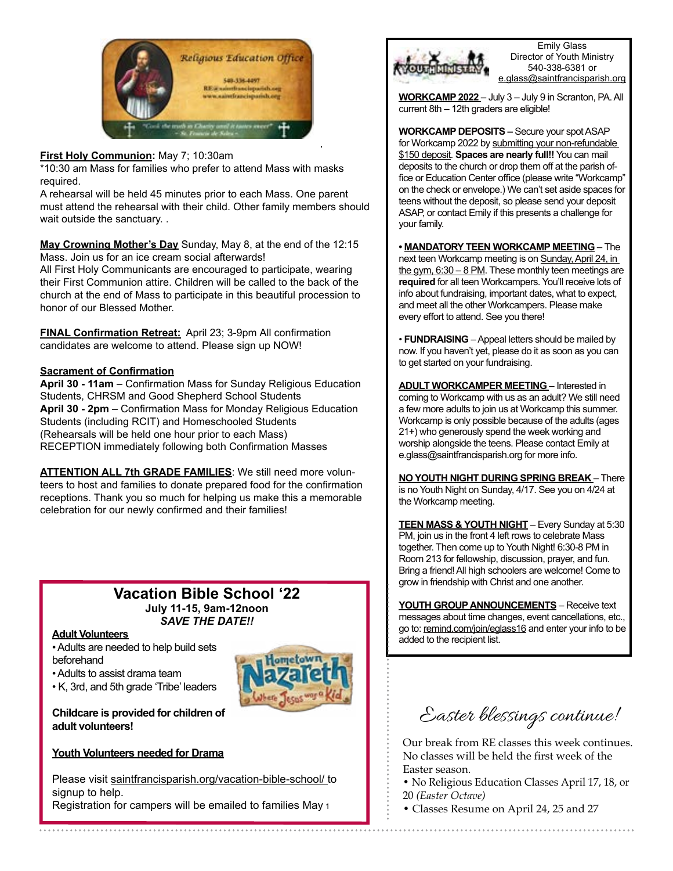

#### **First Holy Communion:** May 7; 10:30am

\*10:30 am Mass for families who prefer to attend Mass with masks required.

A rehearsal will be held 45 minutes prior to each Mass. One parent must attend the rehearsal with their child. Other family members should wait outside the sanctuary. .

**May Crowning Mother's Day** Sunday, May 8, at the end of the 12:15 Mass. Join us for an ice cream social afterwards!

All First Holy Communicants are encouraged to participate, wearing their First Communion attire. Children will be called to the back of the church at the end of Mass to participate in this beautiful procession to honor of our Blessed Mother.

**FINAL Confirmation Retreat:** April 23; 3-9pm All confirmation candidates are welcome to attend. Please sign up NOW!

#### **Sacrament of Confirmation**

**April 30 - 11am** – Confirmation Mass for Sunday Religious Education Students, CHRSM and Good Shepherd School Students **April 30 - 2pm** – Confirmation Mass for Monday Religious Education Students (including RCIT) and Homeschooled Students (Rehearsals will be held one hour prior to each Mass) RECEPTION immediately following both Confirmation Masses

**ATTENTION ALL 7th GRADE FAMILIES**: We still need more volunteers to host and families to donate prepared food for the confirmation receptions. Thank you so much for helping us make this a memorable celebration for our newly confirmed and their families!

### **Vacation Bible School '22 July 11-15, 9am-12noon** *SAVE THE DATE!!*

#### **Adult Volunteers**

• Adults are needed to help build sets beforehand

• Adults to assist drama team

• K, 3rd, and 5th grade 'Tribe' leaders



**Childcare is provided for children of adult volunteers!**

#### **Youth Volunteers needed for Drama**

Please visit saintfrancisparish.org/vacation-bible-school/ to signup to help. Registration for campers will be emailed to families May 1



Emily Glass Director of Youth Ministry 540-338-6381 or e.glass@saintfrancisparish.org

**WORKCAMP 2022** – July 3 – July 9 in Scranton, PA. All current 8th – 12th graders are eligible!

**WORKCAMP DEPOSITS –** Secure your spot ASAP for Workcamp 2022 by submitting your non-refundable \$150 deposit. **Spaces are nearly full!!** You can mail deposits to the church or drop them off at the parish office or Education Center office (please write "Workcamp" on the check or envelope.) We can't set aside spaces for teens without the deposit, so please send your deposit ASAP, or contact Emily if this presents a challenge for your family.

**• MANDATORY TEEN WORKCAMP MEETING** – The next teen Workcamp meeting is on Sunday, April 24, in the gym,  $6:30 - 8$  PM. These monthly teen meetings are **required** for all teen Workcampers. You'll receive lots of info about fundraising, important dates, what to expect, and meet all the other Workcampers. Please make every effort to attend. See you there!

• **FUNDRAISING** – Appeal letters should be mailed by now. If you haven't yet, please do it as soon as you can to get started on your fundraising.

**ADULT WORKCAMPER MEETING** – Interested in coming to Workcamp with us as an adult? We still need a few more adults to join us at Workcamp this summer. Workcamp is only possible because of the adults (ages 21+) who generously spend the week working and worship alongside the teens. Please contact Emily at e.glass@saintfrancisparish.org for more info.

**NO YOUTH NIGHT DURING SPRING BREAK** – There is no Youth Night on Sunday, 4/17. See you on 4/24 at the Workcamp meeting.

**TEEN MASS & YOUTH NIGHT** – Every Sunday at 5:30 PM, join us in the front 4 left rows to celebrate Mass together. Then come up to Youth Night! 6:30-8 PM in Room 213 for fellowship, discussion, prayer, and fun. Bring a friend! All high schoolers are welcome! Come to grow in friendship with Christ and one another.

**YOUTH GROUP ANNOUNCEMENTS** – Receive text messages about time changes, event cancellations, etc., go to: remind.com/join/eglass16 and enter your info to be added to the recipient list.

Easter blessings continue!

Our break from RE classes this week continues. No classes will be held the first week of the Easter season.

• No Religious Education Classes April 17, 18, or 20 *(Easter Octave)* 

• Classes Resume on April 24, 25 and 27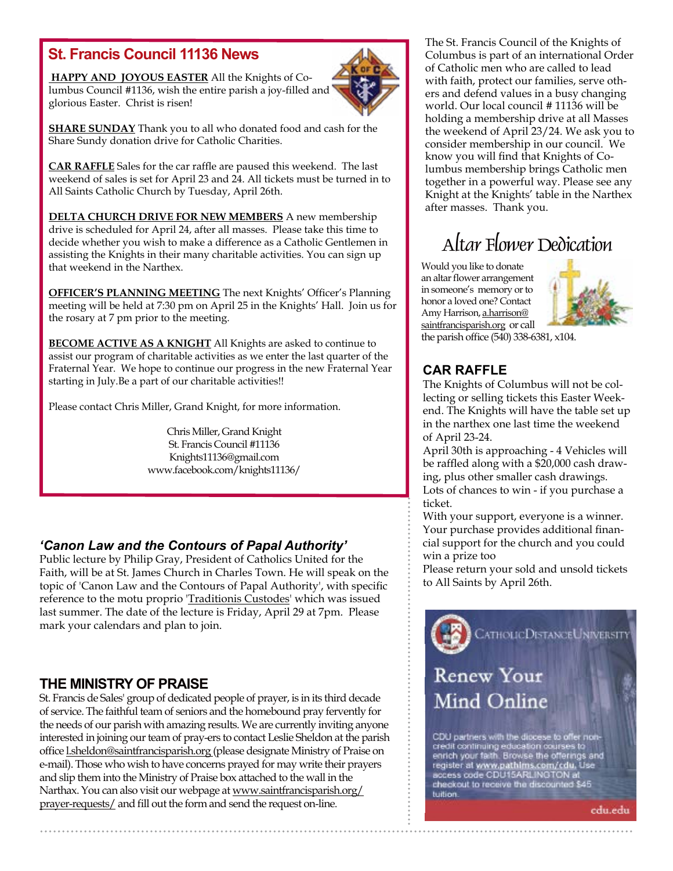## **St. Francis Council 11136 News**

 **HAPPY AND JOYOUS EASTER** All the Knights of Columbus Council #1136, wish the entire parish a joy-filled and glorious Easter. Christ is risen!



**SHARE SUNDAY** Thank you to all who donated food and cash for the Share Sundy donation drive for Catholic Charities.

**CAR RAFFLE** Sales for the car raffle are paused this weekend. The last weekend of sales is set for April 23 and 24. All tickets must be turned in to All Saints Catholic Church by Tuesday, April 26th.

**DELTA CHURCH DRIVE FOR NEW MEMBERS** A new membership drive is scheduled for April 24, after all masses. Please take this time to decide whether you wish to make a difference as a Catholic Gentlemen in assisting the Knights in their many charitable activities. You can sign up that weekend in the Narthex.

**OFFICER'S PLANNING MEETING** The next Knights' Officer's Planning meeting will be held at 7:30 pm on April 25 in the Knights' Hall. Join us for the rosary at 7 pm prior to the meeting.

**BECOME ACTIVE AS A KNIGHT** All Knights are asked to continue to assist our program of charitable activities as we enter the last quarter of the Fraternal Year. We hope to continue our progress in the new Fraternal Year starting in July.Be a part of our charitable activities!!

Please contact Chris Miller, Grand Knight, for more information.

Chris Miller, Grand Knight St. Francis Council #11136 Knights11136@gmail.com www.facebook.com/knights11136/

## *'Canon Law and the Contours of Papal Authority'*

Public lecture by Philip Gray, President of Catholics United for the Faith, will be at St. James Church in Charles Town. He will speak on the topic of 'Canon Law and the Contours of Papal Authority', with specific reference to the motu proprio 'Traditionis Custodes' which was issued last summer. The date of the lecture is Friday, April 29 at 7pm. Please mark your calendars and plan to join.

## **THE MINISTRY OF PRAISE**

St. Francis de Sales' group of dedicated people of prayer, is in its third decade of service. The faithful team of seniors and the homebound pray fervently for the needs of our parish with amazing results. We are currently inviting anyone interested in joining our team of pray-ers to contact Leslie Sheldon at the parish office l.sheldon@saintfrancisparish.org (please designate Ministry of Praise on e-mail). Those who wish to have concerns prayed for may write their prayers and slip them into the Ministry of Praise box attached to the wall in the Narthax. You can also visit our webpage at www.saintfrancisparish.org/ prayer-requests/ and fill out the form and send the request on-line.

The St. Francis Council of the Knights of Columbus is part of an international Order of Catholic men who are called to lead with faith, protect our families, serve others and defend values in a busy changing world. Our local council # 11136 will be holding a membership drive at all Masses the weekend of April 23/24. We ask you to consider membership in our council. We know you will find that Knights of Columbus membership brings Catholic men together in a powerful way. Please see any Knight at the Knights' table in the Narthex after masses. Thank you.

## Altar Flower Dedication

Would you like to donate an altar flower arrangement in someone's memory or to honor a loved one? Contact Amy Harrison, a.harrison@ saintfrancisparish.org or call



the parish office (540) 338-6381, x104.

## **CAR RAFFLE**

The Knights of Columbus will not be collecting or selling tickets this Easter Weekend. The Knights will have the table set up in the narthex one last time the weekend of April 23-24.

April 30th is approaching - 4 Vehicles will be raffled along with a \$20,000 cash drawing, plus other smaller cash drawings. Lots of chances to win - if you purchase a ticket.

With your support, everyone is a winner. Your purchase provides additional financial support for the church and you could win a prize too

Please return your sold and unsold tickets to All Saints by April 26th.

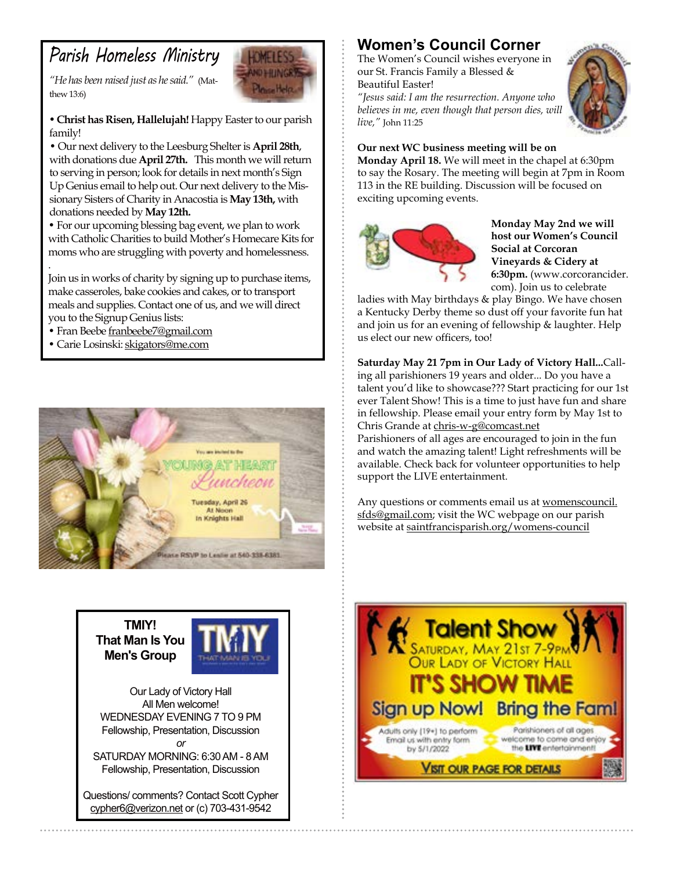## *Parish Homeless Ministry*

*"He has been raised just as he said."* (Matthew 13:6)



*•* **Christ has Risen, Hallelujah!** Happy Easter to our parish family!

• Our next delivery to the Leesburg Shelter is **April 28th**, with donations due **April 27th.** This month we will return to serving in person; look for details in next month's Sign Up Genius email to help out. Our next delivery to the Missionary Sisters of Charity in Anacostia is **May 13th,** with donations needed by **May 12th.**

• For our upcoming blessing bag event, we plan to work with Catholic Charities to build Mother's Homecare Kits for moms who are struggling with poverty and homelessness.

Join us in works of charity by signing up to purchase items, make casseroles, bake cookies and cakes, or to transport meals and supplies. Contact one of us, and we will direct you to the Signup Genius lists:

• Fran Beebe franbeebe7@gmail.com

.

• Carie Losinski: skigators@me.com



**TMIY! That Man Is You Men's Group**



Our Lady of Victory Hall All Men welcome! WEDNESDAY EVENING 7 TO 9 PM Fellowship, Presentation, Discussion *or*

SATURDAY MORNING: 6:30 AM - 8 AM Fellowship, Presentation, Discussion

Questions/ comments? Contact Scott Cypher cypher6@verizon.net or (c) 703-431-9542

## **Women's Council Corner**

The Women's Council wishes everyone in our St. Francis Family a Blessed & Beautiful Easter!

*"Jesus said: I am the resurrection. Anyone who believes in me, even though that person dies, will live,"* John 11:25



#### **Our next WC business meeting will be on**

**Monday April 18.** We will meet in the chapel at 6:30pm to say the Rosary. The meeting will begin at 7pm in Room 113 in the RE building. Discussion will be focused on exciting upcoming events.



**Monday May 2nd we will host our Women's Council Social at Corcoran Vineyards & Cidery at 6:30pm.** (www.corcorancider. com). Join us to celebrate

ladies with May birthdays & play Bingo. We have chosen a Kentucky Derby theme so dust off your favorite fun hat and join us for an evening of fellowship & laughter. Help us elect our new officers, too!

**Saturday May 21 7pm in Our Lady of Victory Hall...**Calling all parishioners 19 years and older... Do you have a talent you'd like to showcase??? Start practicing for our 1st ever Talent Show! This is a time to just have fun and share in fellowship. Please email your entry form by May 1st to Chris Grande at chris-w-g@comcast.net

Parishioners of all ages are encouraged to join in the fun and watch the amazing talent! Light refreshments will be available. Check back for volunteer opportunities to help support the LIVE entertainment.

Any questions or comments email us at womenscouncil. sfds@gmail.com; visit the WC webpage on our parish website at saintfrancisparish.org/womens-council

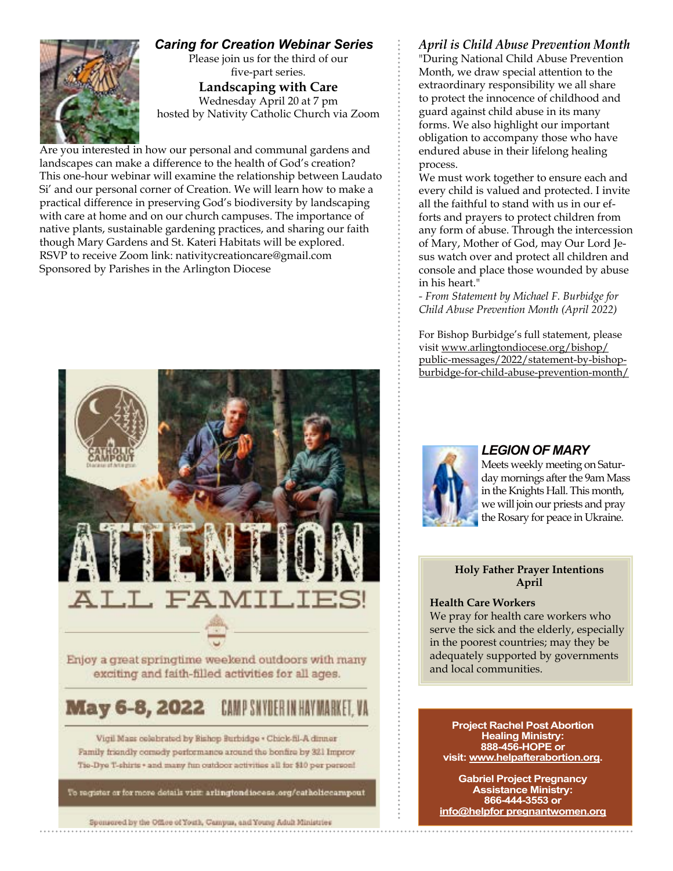### *Caring for Creation Webinar Series*

Please join us for the third of our five-part series.

**Landscaping with Care** Wednesday April 20 at 7 pm hosted by Nativity Catholic Church via Zoom

Are you interested in how our personal and communal gardens and landscapes can make a difference to the health of God's creation? This one-hour webinar will examine the relationship between Laudato Si' and our personal corner of Creation. We will learn how to make a practical difference in preserving God's biodiversity by landscaping with care at home and on our church campuses. The importance of native plants, sustainable gardening practices, and sharing our faith though Mary Gardens and St. Kateri Habitats will be explored. RSVP to receive Zoom link: nativitycreationcare@gmail.com Sponsored by Parishes in the Arlington Diocese



Enjoy a great springtime weekend outdoors with many exciting and faith-filled activities for all ages.

#### **May 6-8, 2022** CAMP SNYDER

Vigil Mass colohrated by Bishop Burbidge . Chick-fil-A dinner Family friendly comedy performance around the bonfire by 321 Improv Tio-Dyo T-shirts + and many fun outdoor activities all for \$10 per person!

To register or for more details virit: arlingtondiocese.org/catholiccampout

Spensored by the Office of Youth, Campus, and Young Adult Ministries

### *April is Child Abuse Prevention Month*

"During National Child Abuse Prevention Month, we draw special attention to the extraordinary responsibility we all share to protect the innocence of childhood and guard against child abuse in its many forms. We also highlight our important obligation to accompany those who have endured abuse in their lifelong healing process.

We must work together to ensure each and every child is valued and protected. I invite all the faithful to stand with us in our efforts and prayers to protect children from any form of abuse. Through the intercession of Mary, Mother of God, may Our Lord Jesus watch over and protect all children and console and place those wounded by abuse in his heart."

*- From Statement by Michael F. Burbidge for Child Abuse Prevention Month (April 2022)*

For Bishop Burbidge's full statement, please visit www.arlingtondiocese.org/bishop/ public-messages/2022/statement-by-bishopburbidge-for-child-abuse-prevention-month/



#### *LEGION OF MARY*

Meets weekly meeting on Saturday mornings after the 9am Mass in the Knights Hall. This month, we will join our priests and pray the Rosary for peace in Ukraine.

#### **Holy Father Prayer Intentions April**

#### **Health Care Workers**

We pray for health care workers who serve the sick and the elderly, especially in the poorest countries; may they be adequately supported by governments and local communities.

**Project Rachel Post Abortion Healing Ministry: 888-456-HOPE or visit: www.helpafterabortion.org.**

**Gabriel Project Pregnancy Assistance Ministry: 866-444-3553 or info@helpfor pregnantwomen.org**